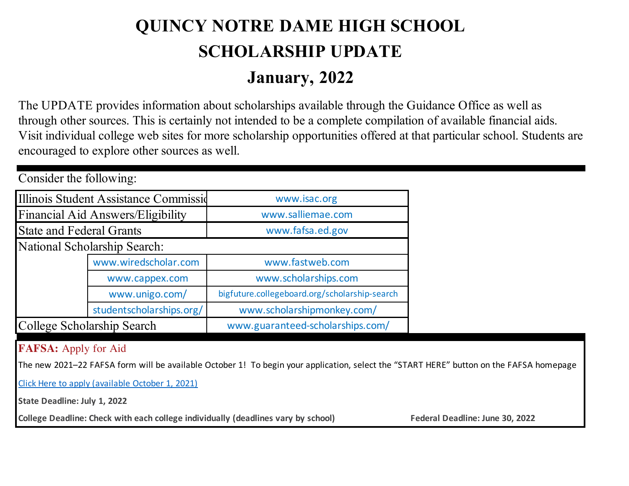## **QUINCY NOTRE DAME HIGH SCHOOL SCHOLARSHIP UPDATE January, 2022**

The UPDATE provides information about scholarships available through the Guidance Office as well as through other sources. This is certainly not intended to be a complete compilation of available financial aids. Visit individual college web sites for more scholarship opportunities offered at that particular school. Students are encouraged to explore other sources as well.

| CONSIGUEL LUC TONOWING.           |                                       |                                               |  |  |  |
|-----------------------------------|---------------------------------------|-----------------------------------------------|--|--|--|
|                                   | Illinois Student Assistance Commissid | www.isac.org                                  |  |  |  |
| Financial Aid Answers/Eligibility |                                       | www.salliemae.com                             |  |  |  |
| <b>State and Federal Grants</b>   |                                       | www.fafsa.ed.gov                              |  |  |  |
|                                   | <b>National Scholarship Search:</b>   |                                               |  |  |  |
|                                   | www.wiredscholar.com                  | www.fastweb.com                               |  |  |  |
|                                   | www.cappex.com                        | www.scholarships.com                          |  |  |  |
|                                   | www.unigo.com/                        | bigfuture.collegeboard.org/scholarship-search |  |  |  |
|                                   | studentscholarships.org/              | www.scholarshipmonkey.com/                    |  |  |  |
| College Scholarship Search        |                                       | www.guaranteed-scholarships.com/              |  |  |  |

## **FAFSA:** Apply for Aid

Consider the following:

The new 2021–22 FAFSA form will be available October 1! To begin your application, select the "START HERE" button on the FAFSA homepage

Click Here to apply (available October 1, 2021)

**State Deadline: July 1, 2022**

College Deadline: Check with each college individually (deadlines vary by school) Federal Deadline: June 30, 2022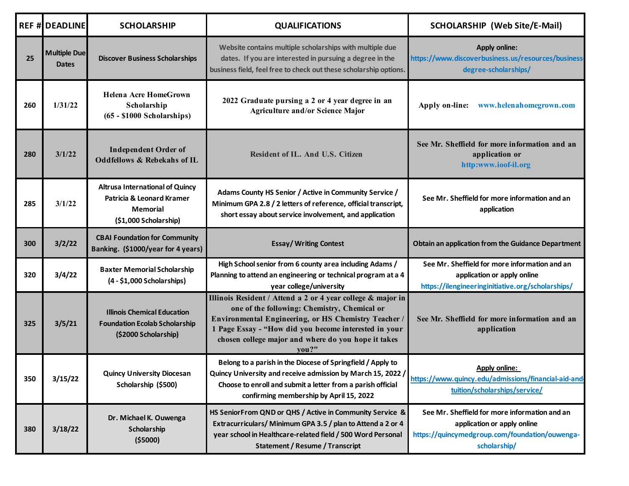|     | <b>REF # DEADLINE</b>               | <b>SCHOLARSHIP</b>                                                                                              | <b>QUALIFICATIONS</b>                                                                                                                                                                                                                                                                      | <b>SCHOLARSHIP (Web Site/E-Mail)</b>                                                                                                           |
|-----|-------------------------------------|-----------------------------------------------------------------------------------------------------------------|--------------------------------------------------------------------------------------------------------------------------------------------------------------------------------------------------------------------------------------------------------------------------------------------|------------------------------------------------------------------------------------------------------------------------------------------------|
| 25  | <b>Multiple Due</b><br><b>Dates</b> | <b>Discover Business Scholarships</b>                                                                           | Website contains multiple scholarships with multiple due<br>dates. If you are interested in pursuing a degree in the<br>business field, feel free to check out these scholarship options.                                                                                                  | <b>Apply online:</b><br>https://www.discoverbusiness.us/resources/business-<br>degree-scholarships/                                            |
| 260 | 1/31/22                             | <b>Helena Acre HomeGrown</b><br>Scholarship<br>$(65 - $1000 Scholarships)$                                      | 2022 Graduate pursing a 2 or 4 year degree in an<br><b>Agriculture and/or Science Major</b>                                                                                                                                                                                                | Apply on-line:<br>www.helenahomegrown.com                                                                                                      |
| 280 | 3/1/22                              | <b>Independent Order of</b><br><b>Oddfellows &amp; Rebekahs of IL</b>                                           | Resident of IL. And U.S. Citizen                                                                                                                                                                                                                                                           | See Mr. Sheffield for more information and an<br>application or<br>http:www.ioof-il.org                                                        |
| 285 | 3/1/22                              | <b>Altrusa International of Quincy</b><br>Patricia & Leonard Kramer<br><b>Memorial</b><br>(\$1,000 Scholarship) | Adams County HS Senior / Active in Community Service /<br>Minimum GPA 2.8 / 2 letters of reference, official transcript,<br>short essay about service involvement, and application                                                                                                         | See Mr. Sheffield for more information and an<br>application                                                                                   |
| 300 | 3/2/22                              | <b>CBAI Foundation for Community</b><br>Banking. (\$1000/year for 4 years)                                      | <b>Essay/ Writing Contest</b>                                                                                                                                                                                                                                                              | Obtain an application from the Guidance Department                                                                                             |
| 320 | 3/4/22                              | <b>Baxter Memorial Scholarship</b><br>(4 - \$1,000 Scholarships)                                                | High School senior from 6 county area including Adams /<br>Planning to attend an engineering or technical program at a 4<br>year college/university                                                                                                                                        | See Mr. Sheffield for more information and an<br>application or apply online<br>https://ilengineeringinitiative.org/scholarships/              |
| 325 | 3/5/21                              | <b>Illinois Chemical Education</b><br><b>Foundation Ecolab Scholarship</b><br>(\$2000 Scholarship)              | Illinois Resident / Attend a 2 or 4 year college & major in<br>one of the following: Chemistry, Chemical or<br>Environmental Engineering, or HS Chemistry Teacher<br>1 Page Essay - "How did you become interested in your<br>chosen college major and where do you hope it takes<br>you?" | See Mr. Sheffield for more information and an<br>application                                                                                   |
| 350 | 3/15/22                             | <b>Quincy University Diocesan</b><br>Scholarship (\$500)                                                        | Belong to a parish in the Diocese of Springfield / Apply to<br>Quincy University and receive admission by March 15, 2022 /<br>Choose to enroll and submit a letter from a parish official<br>confirming membership by April 15, 2022                                                       | Apply online:<br>https://www.quincy.edu/admissions/financial-aid-and-<br>tuition/scholarships/service/                                         |
| 380 | 3/18/22                             | Dr. Michael K. Ouwenga<br>Scholarship<br>( \$5000)                                                              | HS SeniorFrom QND or QHS / Active in Community Service &<br>Extracurriculars/ Minimum GPA 3.5 / plan to Attend a 2 or 4<br>year school in Healthcare-related field / 500 Word Personal<br><b>Statement / Resume / Transcript</b>                                                           | See Mr. Sheffield for more information and an<br>application or apply online<br>https://quincymedgroup.com/foundation/ouwenga-<br>scholarship/ |